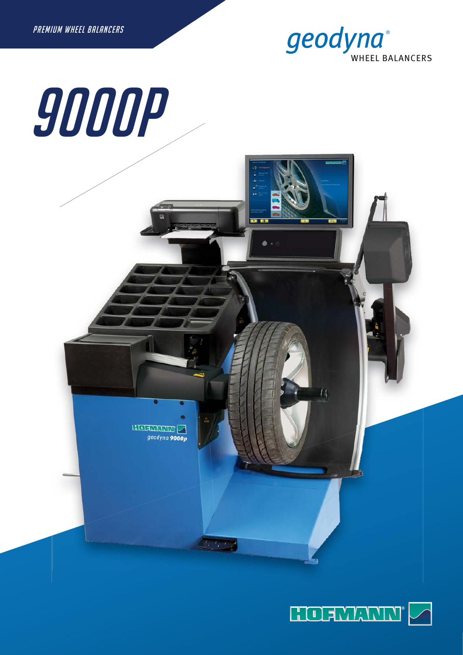

# 9000P



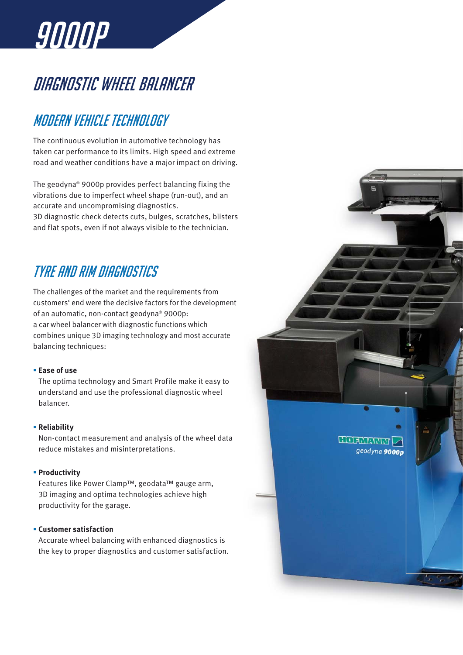

# DIAGNOSTIC WHEEL BALANCER

## Modern vehicle technology

The continuous evolution in automotive technology has taken car performance to its limits. High speed and extreme road and weather conditions have a major impact on driving.

The geodyna® 9000p provides perfect balancing fixing the vibrations due to imperfect wheel shape (run-out), and an accurate and uncompromising diagnostics. 3D diagnostic check detects cuts, bulges, scratches, blisters

and flat spots, even if not always visible to the technician.

## Tyre and rim diagnostics

The challenges of the market and the requirements from customers' end were the decisive factors for the development of an automatic, non-contact geodyna® 9000p: a car wheel balancer with diagnostic functions which combines unique 3D imaging technology and most accurate balancing techniques:

#### § **Ease of use**

The optima technology and Smart Profile make it easy to understand and use the professional diagnostic wheel balancer.

#### § **Reliability**

Non-contact measurement and analysis of the wheel data reduce mistakes and misinterpretations.

#### § **Productivity**

Features like Power Clamp™, geodata™ gauge arm, 3D imaging and optima technologies achieve high productivity for the garage.

#### § **Customer satisfaction**

Accurate wheel balancing with enhanced diagnostics is the key to proper diagnostics and customer satisfaction.

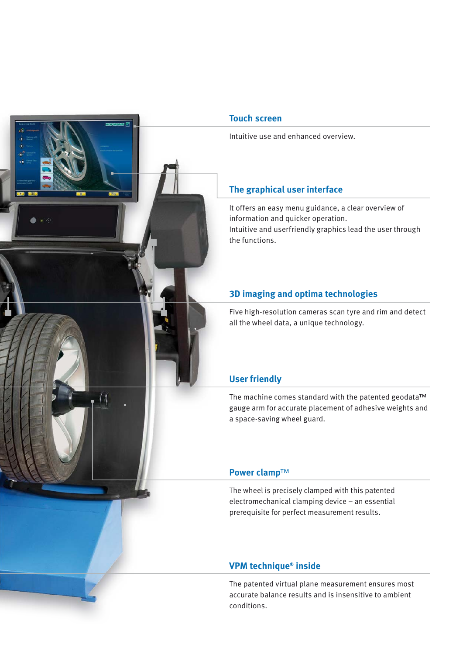

#### **Touch screen**

Intuitive use and enhanced overview.

#### **The graphical user interface**

It offers an easy menu guidance, a clear overview of information and quicker operation. Intuitive and userfriendly graphics lead the user through the functions.

#### **3D imaging and optima technologies**

Five high-resolution cameras scan tyre and rim and detect all the wheel data, a unique technology.

#### **User friendly**

The machine comes standard with the patented geodata™ gauge arm for accurate placement of adhesive weights and a space-saving wheel guard.

#### **Power clamp**™

The wheel is precisely clamped with this patented electromechanical clamping device – an essential prerequisite for perfect measurement results.

#### **VPM technique® inside**

The patented virtual plane measurement ensures most accurate balance results and is insensitive to ambient conditions.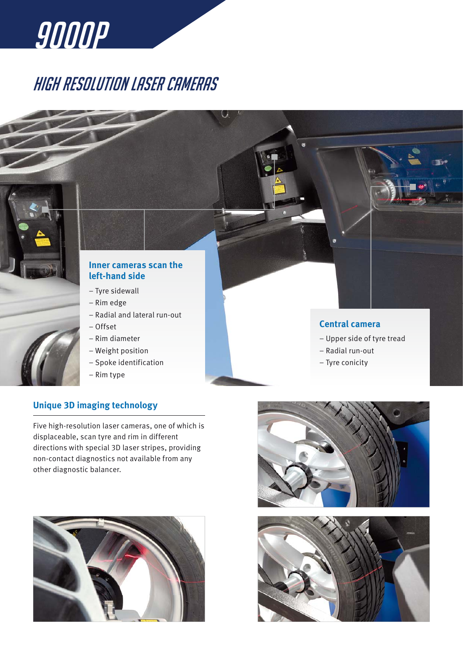

# High resolution laser cameras



#### **Inner cameras scan the left-hand side**

- Tyre sidewall
- Rim edge
- Radial and lateral run-out
- Offset
- Rim diameter
- Weight position
- Spoke identification
- Rim type

#### **Unique 3D imaging technology**

Five high-resolution laser cameras, one of which is displaceable, scan tyre and rim in different directions with special 3D laser stripes, providing non-contact diagnostics not available from any other diagnostic balancer.







#### **Central camera**

– Upper side of tyre tread

- Radial run-out
- Tyre conicity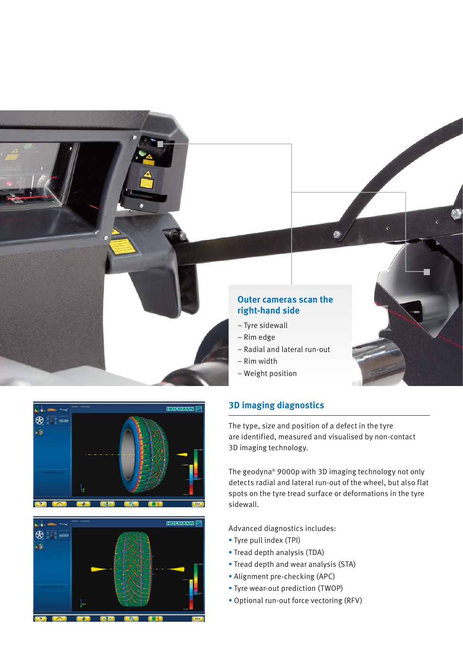





#### **3D imaging diagnostics**

The type, size and position of a defect in the tyre are identified, measured and visualised by non-contact 3D imaging technology.

The geodyna® 9000p with 3D imaging technology not only detects radial and lateral run-out of the wheel, but also flat spots on the tyre tread surface or deformations in the tyre sidewall.

Advanced diagnostics includes:

- § Tyre pull index (TPI)
- § Tread depth analysis (TDA)
- § Tread depth and wear analysis (STA)
- § Alignment pre-checking (APC)
- § Tyre wear-out prediction (TWOP)
- § Optional run-out force vectoring (RFV)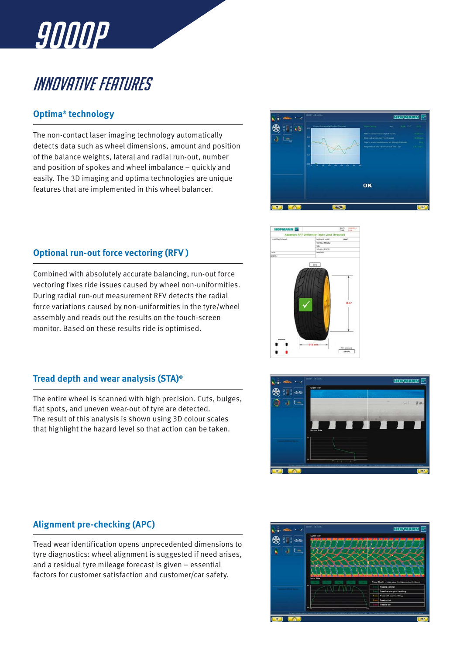

# Innovative features

#### **Optima® technology**

The non-contact laser imaging technology automatically detects data such as wheel dimensions, amount and position of the balance weights, lateral and radial run-out, number and position of spokes and wheel imbalance – quickly and easily. The 3D imaging and optima technologies are unique features that are implemented in this wheel balancer.



#### **Optional run-out force vectoring (RFV )**

Combined with absolutely accurate balancing, run-out force vectoring fixes ride issues caused by wheel non-uniformities. During radial run-out measurement RFV detects the radial force variations caused by non-uniformities in the tyre/wheel assembly and reads out the results on the touch-screen monitor. Based on these results ride is optimised.

#### **Tread depth and wear analysis (STA)®**

The entire wheel is scanned with high precision. Cuts, bulges, flat spots, and uneven wear-out of tyre are detected. The result of this analysis is shown using 3D colour scales that highlight the hazard level so that action can be taken.





#### **Alignment pre-checking (APC)**

Tread wear identification opens unprecedented dimensions to tyre diagnostics: wheel alignment is suggested if need arises, and a residual tyre mileage forecast is given – essential factors for customer satisfaction and customer/car safety.

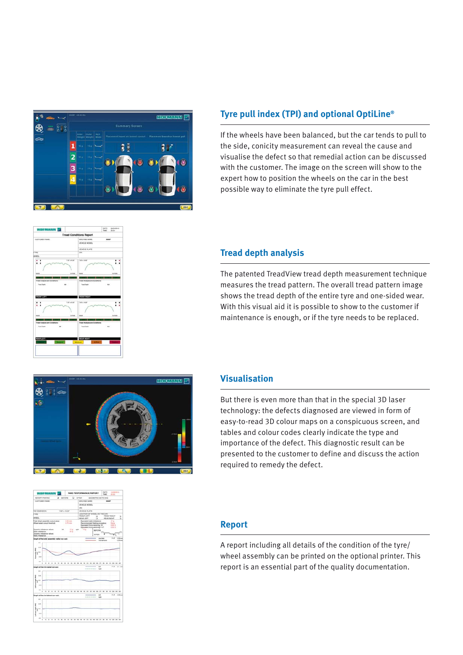

## **Tyre pull index (TPI) and optional OptiLine®**

If the wheels have been balanced, but the car tends to pull to the side, conicity measurement can reveal the cause and visualise the defect so that remedial action can be discussed with the customer. The image on the screen will show to the expert how to position the wheels on the car in the best possible way to eliminate the tyre pull effect.



#### **Tread depth analysis**

The patented TreadView tread depth measurement technique measures the tread pattern. The overall tread pattern image shows the tread depth of the entire tyre and one-sided wear. With this visual aid it is possible to show to the customer if maintenance is enough, or if the tyre needs to be replaced.



#### **Visualisation**

But there is even more than that in the special 3D laser technology: the defects diagnosed are viewed in form of easy-to-read 3D colour maps on a conspicuous screen, and tables and colour codes clearly indicate the type and importance of the defect. This diagnostic result can be presented to the customer to define and discuss the action required to remedy the defect.



#### **Report**

A report including all details of the condition of the tyre/ wheel assembly can be printed on the optional printer. This report is an essential part of the quality documentation.